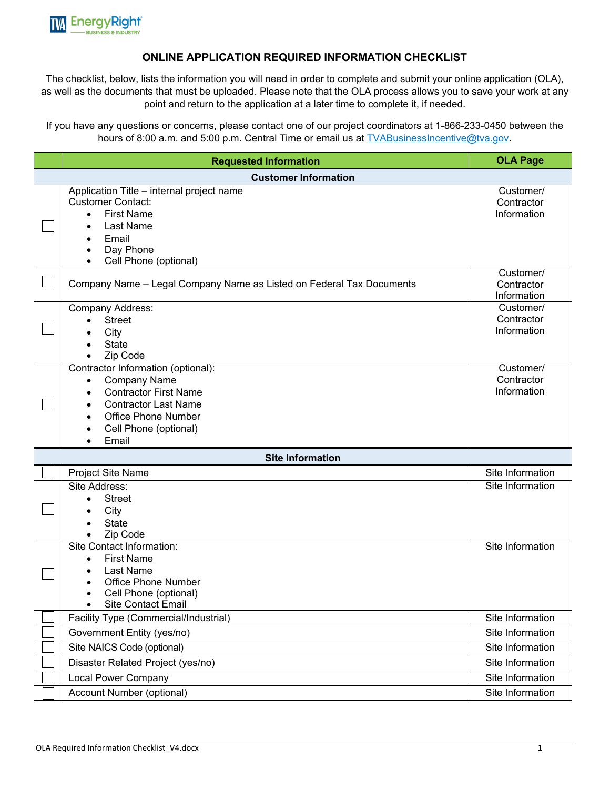

## **ONLINE APPLICATION REQUIRED INFORMATION CHECKLIST**

The checklist, below, lists the information you will need in order to complete and submit your online application (OLA), as well as the documents that must be uploaded. Please note that the OLA process allows you to save your work at any point and return to the application at a later time to complete it, if needed.

If you have any questions or concerns, please contact one of our project coordinators at 1-866-233-0450 between the hours of 8:00 a.m. and 5:00 p.m. Central Time or email us at [TVABusinessIncentive@tva.gov.](mailto:TVABusinessIncentive@tva.gov)

| <b>Requested Information</b>                                                                                                                                                                                            | <b>OLA Page</b>                        |
|-------------------------------------------------------------------------------------------------------------------------------------------------------------------------------------------------------------------------|----------------------------------------|
| <b>Customer Information</b>                                                                                                                                                                                             |                                        |
| Application Title - internal project name<br><b>Customer Contact:</b><br><b>First Name</b><br>$\bullet$<br>Last Name<br>Email<br>Day Phone<br>Cell Phone (optional)                                                     | Customer/<br>Contractor<br>Information |
| Company Name – Legal Company Name as Listed on Federal Tax Documents                                                                                                                                                    | Customer/<br>Contractor<br>Information |
| <b>Company Address:</b><br><b>Street</b><br>City<br><b>State</b><br>Zip Code                                                                                                                                            | Customer/<br>Contractor<br>Information |
| Contractor Information (optional):<br><b>Company Name</b><br>$\bullet$<br><b>Contractor First Name</b><br>$\bullet$<br><b>Contractor Last Name</b><br>٠<br><b>Office Phone Number</b><br>Cell Phone (optional)<br>Email | Customer/<br>Contractor<br>Information |
| <b>Site Information</b>                                                                                                                                                                                                 |                                        |
| Project Site Name                                                                                                                                                                                                       | Site Information                       |
| Site Address:<br><b>Street</b><br>$\bullet$<br>City<br><b>State</b><br>Zip Code                                                                                                                                         | Site Information                       |
| <b>Site Contact Information:</b><br><b>First Name</b><br>$\bullet$<br>Last Name<br><b>Office Phone Number</b><br>Cell Phone (optional)<br>Site Contact Email                                                            | Site Information                       |
| Facility Type (Commercial/Industrial)                                                                                                                                                                                   | Site Information                       |
| Government Entity (yes/no)                                                                                                                                                                                              | Site Information                       |
| Site NAICS Code (optional)                                                                                                                                                                                              | Site Information                       |
| Disaster Related Project (yes/no)                                                                                                                                                                                       | Site Information                       |
| <b>Local Power Company</b>                                                                                                                                                                                              | Site Information                       |
| Account Number (optional)                                                                                                                                                                                               | Site Information                       |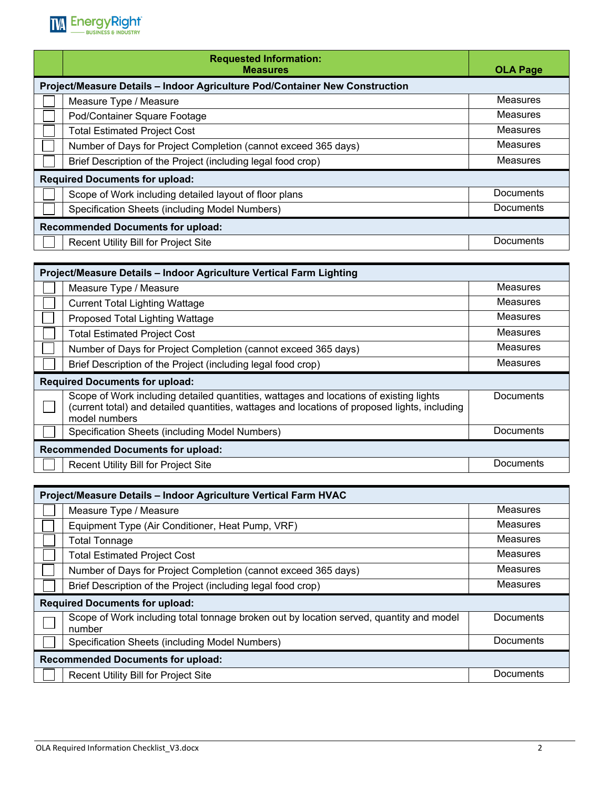

|                                                                             | <b>Requested Information:</b><br><b>Measures</b>               | <b>OLA Page</b> |
|-----------------------------------------------------------------------------|----------------------------------------------------------------|-----------------|
| Project/Measure Details - Indoor Agriculture Pod/Container New Construction |                                                                |                 |
|                                                                             | Measure Type / Measure                                         | Measures        |
|                                                                             | Pod/Container Square Footage                                   | Measures        |
|                                                                             | <b>Total Estimated Project Cost</b>                            | <b>Measures</b> |
|                                                                             | Number of Days for Project Completion (cannot exceed 365 days) | Measures        |
|                                                                             | Brief Description of the Project (including legal food crop)   | Measures        |
| <b>Required Documents for upload:</b>                                       |                                                                |                 |
|                                                                             | Scope of Work including detailed layout of floor plans         | Documents       |
|                                                                             | Specification Sheets (including Model Numbers)                 | Documents       |
| <b>Recommended Documents for upload:</b>                                    |                                                                |                 |
|                                                                             | Recent Utility Bill for Project Site                           | Documents       |

| Project/Measure Details - Indoor Agriculture Vertical Farm Lighting |                                                                                                                                                                                                          |                 |
|---------------------------------------------------------------------|----------------------------------------------------------------------------------------------------------------------------------------------------------------------------------------------------------|-----------------|
|                                                                     | Measure Type / Measure                                                                                                                                                                                   | <b>Measures</b> |
|                                                                     | <b>Current Total Lighting Wattage</b>                                                                                                                                                                    | Measures        |
|                                                                     | Proposed Total Lighting Wattage                                                                                                                                                                          | Measures        |
|                                                                     | <b>Total Estimated Project Cost</b>                                                                                                                                                                      | Measures        |
|                                                                     | Number of Days for Project Completion (cannot exceed 365 days)                                                                                                                                           | Measures        |
|                                                                     | Brief Description of the Project (including legal food crop)                                                                                                                                             | Measures        |
| <b>Required Documents for upload:</b>                               |                                                                                                                                                                                                          |                 |
|                                                                     | Scope of Work including detailed quantities, wattages and locations of existing lights<br>(current total) and detailed quantities, wattages and locations of proposed lights, including<br>model numbers | Documents       |
|                                                                     | Specification Sheets (including Model Numbers)                                                                                                                                                           | Documents       |
| <b>Recommended Documents for upload:</b>                            |                                                                                                                                                                                                          |                 |
|                                                                     | Recent Utility Bill for Project Site                                                                                                                                                                     | Documents       |

| Project/Measure Details - Indoor Agriculture Vertical Farm HVAC |                                                                                                   |                  |
|-----------------------------------------------------------------|---------------------------------------------------------------------------------------------------|------------------|
|                                                                 | Measure Type / Measure                                                                            | Measures         |
|                                                                 | Equipment Type (Air Conditioner, Heat Pump, VRF)                                                  | <b>Measures</b>  |
|                                                                 | <b>Total Tonnage</b>                                                                              | Measures         |
|                                                                 | <b>Total Estimated Project Cost</b>                                                               | Measures         |
|                                                                 | Number of Days for Project Completion (cannot exceed 365 days)                                    | Measures         |
|                                                                 | Brief Description of the Project (including legal food crop)                                      | <b>Measures</b>  |
| <b>Required Documents for upload:</b>                           |                                                                                                   |                  |
|                                                                 | Scope of Work including total tonnage broken out by location served, quantity and model<br>number | <b>Documents</b> |
|                                                                 | Specification Sheets (including Model Numbers)                                                    | <b>Documents</b> |
| <b>Recommended Documents for upload:</b>                        |                                                                                                   |                  |
|                                                                 | <b>Recent Utility Bill for Project Site</b>                                                       | Documents        |